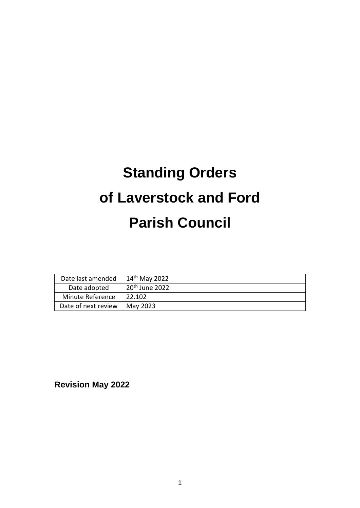# **Standing Orders of Laverstock and Ford Parish Council**

| Date last amended   | 14 <sup>th</sup> May 2022  |
|---------------------|----------------------------|
| Date adopted        | 20 <sup>th</sup> June 2022 |
| Minute Reference    | 22.102                     |
| Date of next review | May 2023                   |

**Revision May 2022**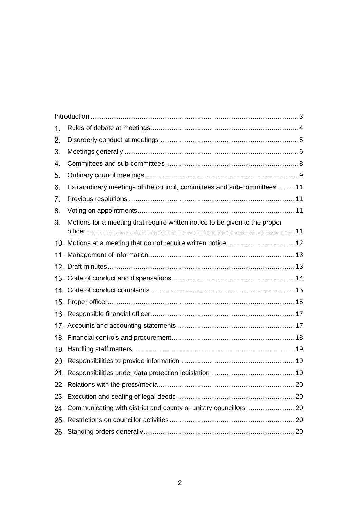| 1. |                                                                             |  |
|----|-----------------------------------------------------------------------------|--|
| 2. |                                                                             |  |
| 3. |                                                                             |  |
| 4. |                                                                             |  |
| 5. |                                                                             |  |
| 6. | Extraordinary meetings of the council, committees and sub-committees  11    |  |
| 7. |                                                                             |  |
| 8. |                                                                             |  |
| 9. | Motions for a meeting that require written notice to be given to the proper |  |
|    |                                                                             |  |
|    |                                                                             |  |
|    |                                                                             |  |
|    |                                                                             |  |
|    |                                                                             |  |
|    |                                                                             |  |
|    |                                                                             |  |
|    |                                                                             |  |
|    |                                                                             |  |
|    |                                                                             |  |
|    |                                                                             |  |
|    |                                                                             |  |
|    |                                                                             |  |
|    |                                                                             |  |
|    | 24. Communicating with district and county or unitary councillors  20       |  |
|    |                                                                             |  |
|    |                                                                             |  |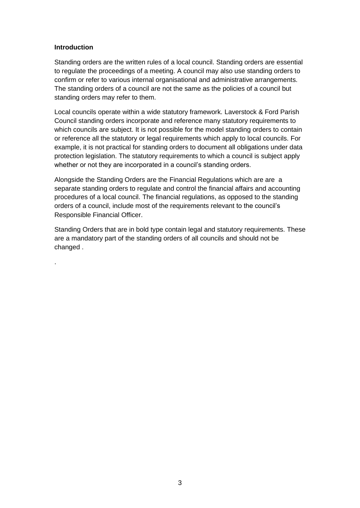### <span id="page-2-0"></span>**Introduction**

.

Standing orders are the written rules of a local council. Standing orders are essential to regulate the proceedings of a meeting. A council may also use standing orders to confirm or refer to various internal organisational and administrative arrangements. The standing orders of a council are not the same as the policies of a council but standing orders may refer to them.

Local councils operate within a wide statutory framework. Laverstock & Ford Parish Council standing orders incorporate and reference many statutory requirements to which councils are subject. It is not possible for the model standing orders to contain or reference all the statutory or legal requirements which apply to local councils. For example, it is not practical for standing orders to document all obligations under data protection legislation. The statutory requirements to which a council is subject apply whether or not they are incorporated in a council's standing orders.

Alongside the Standing Orders are the Financial Regulations which are are a separate standing orders to regulate and control the financial affairs and accounting procedures of a local council. The financial regulations, as opposed to the standing orders of a council, include most of the requirements relevant to the council's Responsible Financial Officer.

Standing Orders that are in bold type contain legal and statutory requirements. These are a mandatory part of the standing orders of all councils and should not be changed .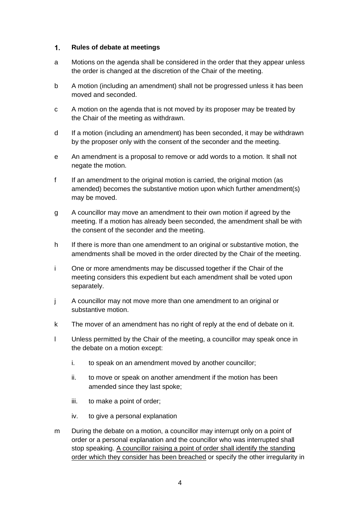#### <span id="page-3-0"></span> $1.$ **Rules of debate at meetings**

- a Motions on the agenda shall be considered in the order that they appear unless the order is changed at the discretion of the Chair of the meeting.
- b A motion (including an amendment) shall not be progressed unless it has been moved and seconded.
- c A motion on the agenda that is not moved by its proposer may be treated by the Chair of the meeting as withdrawn.
- d If a motion (including an amendment) has been seconded, it may be withdrawn by the proposer only with the consent of the seconder and the meeting.
- e An amendment is a proposal to remove or add words to a motion. It shall not negate the motion.
- f If an amendment to the original motion is carried, the original motion (as amended) becomes the substantive motion upon which further amendment(s) may be moved.
- g A councillor may move an amendment to their own motion if agreed by the meeting. If a motion has already been seconded, the amendment shall be with the consent of the seconder and the meeting.
- h If there is more than one amendment to an original or substantive motion, the amendments shall be moved in the order directed by the Chair of the meeting.
- i One or more amendments may be discussed together if the Chair of the meeting considers this expedient but each amendment shall be voted upon separately.
- j A councillor may not move more than one amendment to an original or substantive motion.
- k The mover of an amendment has no right of reply at the end of debate on it.
- l Unless permitted by the Chair of the meeting, a councillor may speak once in the debate on a motion except:
	- i. to speak on an amendment moved by another councillor;
	- ii. to move or speak on another amendment if the motion has been amended since they last spoke;
	- iii. to make a point of order;
	- iv. to give a personal explanation
- m During the debate on a motion, a councillor may interrupt only on a point of order or a personal explanation and the councillor who was interrupted shall stop speaking. A councillor raising a point of order shall identify the standing order which they consider has been breached or specify the other irregularity in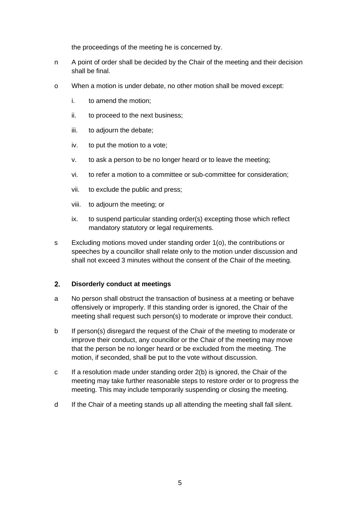the proceedings of the meeting he is concerned by.

- n A point of order shall be decided by the Chair of the meeting and their decision shall be final.
- o When a motion is under debate, no other motion shall be moved except:
	- i. to amend the motion;
	- ii. to proceed to the next business;
	- iii. to adjourn the debate;
	- iv. to put the motion to a vote;
	- v. to ask a person to be no longer heard or to leave the meeting;
	- vi. to refer a motion to a committee or sub-committee for consideration;
	- vii. to exclude the public and press;
	- viii. to adjourn the meeting; or
	- ix. to suspend particular standing order(s) excepting those which reflect mandatory statutory or legal requirements.
- s Excluding motions moved under standing order 1(o), the contributions or speeches by a councillor shall relate only to the motion under discussion and shall not exceed 3 minutes without the consent of the Chair of the meeting.

#### <span id="page-4-0"></span> $2.$ **Disorderly conduct at meetings**

- a No person shall obstruct the transaction of business at a meeting or behave offensively or improperly. If this standing order is ignored, the Chair of the meeting shall request such person(s) to moderate or improve their conduct.
- b If person(s) disregard the request of the Chair of the meeting to moderate or improve their conduct, any councillor or the Chair of the meeting may move that the person be no longer heard or be excluded from the meeting. The motion, if seconded, shall be put to the vote without discussion.
- c If a resolution made under standing order 2(b) is ignored, the Chair of the meeting may take further reasonable steps to restore order or to progress the meeting. This may include temporarily suspending or closing the meeting.
- d If the Chair of a meeting stands up all attending the meeting shall fall silent.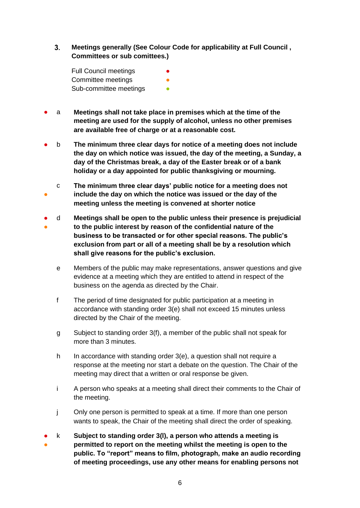<span id="page-5-0"></span> $3<sub>1</sub>$ **Meetings generally (See Colour Code for applicability at Full Council , Committees or sub comittees.)**

Full Council meetings Committee meetings Sub-committee meetings

- a **Meetings shall not take place in premises which at the time of the meeting are used for the supply of alcohol, unless no other premises are available free of charge or at a reasonable cost.**
- b **The minimum three clear days for notice of a meeting does not include the day on which notice was issued, the day of the meeting, a Sunday, a day of the Christmas break, a day of the Easter break or of a bank holiday or a day appointed for public thanksgiving or mourning.**
- c **The minimum three clear days' public notice for a meeting does not include the day on which the notice was issued or the day of the meeting unless the meeting is convened at shorter notice**
- ● d **Meetings shall be open to the public unless their presence is prejudicial to the public interest by reason of the confidential nature of the business to be transacted or for other special reasons. The public's exclusion from part or all of a meeting shall be by a resolution which shall give reasons for the public's exclusion.**
	- e Members of the public may make representations, answer questions and give evidence at a meeting which they are entitled to attend in respect of the business on the agenda as directed by the Chair.
	- f The period of time designated for public participation at a meeting in accordance with standing order 3(e) shall not exceed 15 minutes unless directed by the Chair of the meeting.
	- g Subject to standing order 3(f), a member of the public shall not speak for more than 3 minutes.
	- h In accordance with standing order 3(e), a question shall not require a response at the meeting nor start a debate on the question. The Chair of the meeting may direct that a written or oral response be given.
	- i A person who speaks at a meeting shall direct their comments to the Chair of the meeting.
	- j Only one person is permitted to speak at a time. If more than one person wants to speak, the Chair of the meeting shall direct the order of speaking.
- ● k **Subject to standing order 3(l), a person who attends a meeting is permitted to report on the meeting whilst the meeting is open to the public. To "report" means to film, photograph, make an audio recording of meeting proceedings, use any other means for enabling persons not**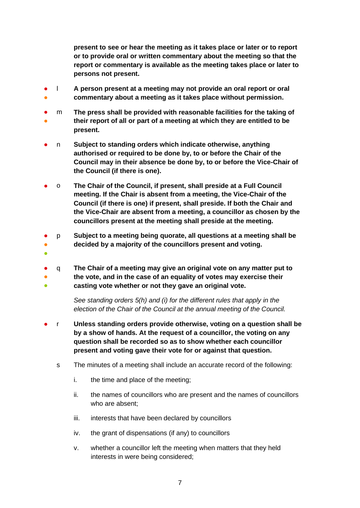**present to see or hear the meeting as it takes place or later or to report or to provide oral or written commentary about the meeting so that the report or commentary is available as the meeting takes place or later to persons not present.**

- ● l **A person present at a meeting may not provide an oral report or oral commentary about a meeting as it takes place without permission.**
- ● m **The press shall be provided with reasonable facilities for the taking of their report of all or part of a meeting at which they are entitled to be present.**
- n **Subject to standing orders which indicate otherwise, anything <b>Subject to standing authorised or required to be done by, to or before the Chair of the Council may in their absence be done by, to or before the Vice-Chair of the Council (if there is one).**
- o **The Chair of the Council, if present, shall preside at a Full Council meeting. If the Chair is absent from a meeting, the Vice-Chair of the Council (if there is one) if present, shall preside. If both the Chair and the Vice-Chair are absent from a meeting, a councillor as chosen by the councillors present at the meeting shall preside at the meeting.**
- ● p **Subject to a meeting being quorate, all questions at a meeting shall be decided by a majority of the councillors present and voting.**
- ●
- ● ● q **The Chair of a meeting may give an original vote on any matter put to the vote, and in the case of an equality of votes may exercise their casting vote whether or not they gave an original vote.**

*See standing orders 5(h) and (i) for the different rules that apply in the election of the Chair of the Council at the annual meeting of the Council.*

- r **Unless standing orders provide otherwise, voting on a question shall be by a show of hands. At the request of a councillor, the voting on any question shall be recorded so as to show whether each councillor present and voting gave their vote for or against that question.** 
	- s The minutes of a meeting shall include an accurate record of the following:
		- i. the time and place of the meeting;
		- ii. the names of councillors who are present and the names of councillors who are absent;
		- iii. interests that have been declared by councillors
		- iv. the grant of dispensations (if any) to councillors
		- v. whether a councillor left the meeting when matters that they held interests in were being considered;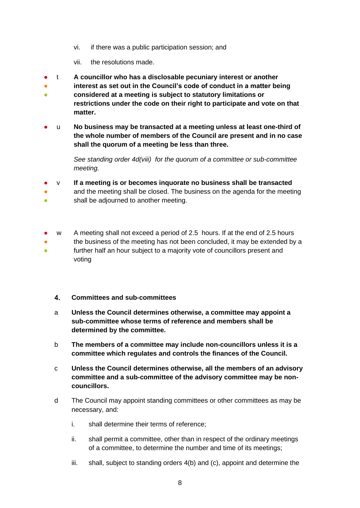- vi. if there was a public participation session; and
- vii. the resolutions made.
- t **A councillor who has a disclosable pecuniary interest or another**
- **interest as set out in the Council's code of conduct in a matter being**
- **considered at a meeting is subject to statutory limitations or restrictions under the code on their right to participate and vote on that matter.**
- u **No business may be transacted at a meeting unless at least one-third of the whole number of members of the Council are present and in no case shall the quorum of a meeting be less than three.**

*See standing order 4d(viii) for the quorum of a committee or sub-committee meeting.* 

- v **If a meeting is or becomes inquorate no business shall be transacted**
- and the meeting shall be closed. The business on the agenda for the meeting
- shall be adjourned to another meeting.
- w A meeting shall not exceed a period of 2.5 hours. If at the end of 2.5 hours
- ● the business of the meeting has not been concluded, it may be extended by a further half an hour subject to a majority vote of councillors present and voting

### <span id="page-7-0"></span> $4.$ **Committees and sub-committees**

- a **Unless the Council determines otherwise, a committee may appoint a sub-committee whose terms of reference and members shall be determined by the committee.**
- b **The members of a committee may include non-councillors unless it is a committee which regulates and controls the finances of the Council.**
- c **Unless the Council determines otherwise, all the members of an advisory committee and a sub-committee of the advisory committee may be noncouncillors.**
- d The Council may appoint standing committees or other committees as may be necessary, and:
	- i. shall determine their terms of reference;
	- ii. shall permit a committee, other than in respect of the ordinary meetings of a committee, to determine the number and time of its meetings;
	- iii. shall, subject to standing orders 4(b) and (c), appoint and determine the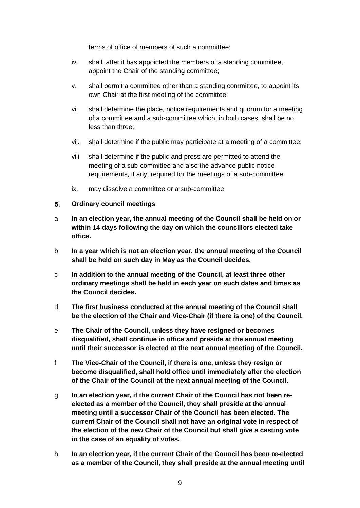terms of office of members of such a committee;

- iv. shall, after it has appointed the members of a standing committee, appoint the Chair of the standing committee;
- v. shall permit a committee other than a standing committee, to appoint its own Chair at the first meeting of the committee;
- vi. shall determine the place, notice requirements and quorum for a meeting of a committee and a sub-committee which, in both cases, shall be no less than three;
- vii. shall determine if the public may participate at a meeting of a committee;
- viii. shall determine if the public and press are permitted to attend the meeting of a sub-committee and also the advance public notice requirements, if any, required for the meetings of a sub-committee.
- ix. may dissolve a committee or a sub-committee.

#### <span id="page-8-0"></span> $5.$ **Ordinary council meetings**

- a **In an election year, the annual meeting of the Council shall be held on or within 14 days following the day on which the councillors elected take office.**
- b **In a year which is not an election year, the annual meeting of the Council shall be held on such day in May as the Council decides.**
- c **In addition to the annual meeting of the Council, at least three other ordinary meetings shall be held in each year on such dates and times as the Council decides.**
- d **The first business conducted at the annual meeting of the Council shall be the election of the Chair and Vice-Chair (if there is one) of the Council.**
- e **The Chair of the Council, unless they have resigned or becomes disqualified, shall continue in office and preside at the annual meeting until their successor is elected at the next annual meeting of the Council.**
- f **The Vice-Chair of the Council, if there is one, unless they resign or become disqualified, shall hold office until immediately after the election of the Chair of the Council at the next annual meeting of the Council.**
- g **In an election year, if the current Chair of the Council has not been reelected as a member of the Council, they shall preside at the annual meeting until a successor Chair of the Council has been elected. The current Chair of the Council shall not have an original vote in respect of the election of the new Chair of the Council but shall give a casting vote in the case of an equality of votes.**
- h **In an election year, if the current Chair of the Council has been re-elected as a member of the Council, they shall preside at the annual meeting until**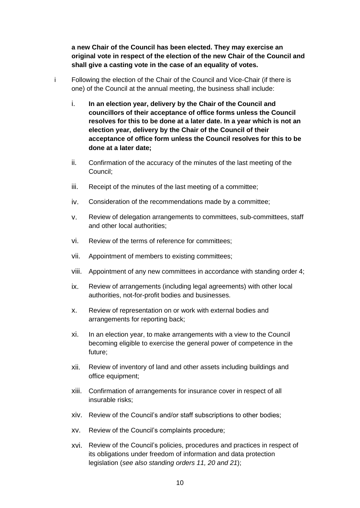**a new Chair of the Council has been elected. They may exercise an original vote in respect of the election of the new Chair of the Council and shall give a casting vote in the case of an equality of votes.**

- i Following the election of the Chair of the Council and Vice-Chair (if there is one) of the Council at the annual meeting, the business shall include:
	- i. **In an election year, delivery by the Chair of the Council and councillors of their acceptance of office forms unless the Council resolves for this to be done at a later date. In a year which is not an election year, delivery by the Chair of the Council of their acceptance of office form unless the Council resolves for this to be done at a later date;**
	- ii. Confirmation of the accuracy of the minutes of the last meeting of the Council;
	- iii. Receipt of the minutes of the last meeting of a committee;
	- iv. Consideration of the recommendations made by a committee;
	- v. Review of delegation arrangements to committees, sub-committees, staff and other local authorities;
	- vi. Review of the terms of reference for committees;
	- vii. Appointment of members to existing committees;
	- viii. Appointment of any new committees in accordance with standing order 4;
	- ix. Review of arrangements (including legal agreements) with other local authorities, not-for-profit bodies and businesses.
	- x. Review of representation on or work with external bodies and arrangements for reporting back;
	- xi. In an election year, to make arrangements with a view to the Council becoming eligible to exercise the general power of competence in the future;
	- xii. Review of inventory of land and other assets including buildings and office equipment;
	- xiii. Confirmation of arrangements for insurance cover in respect of all insurable risks;
	- xiv. Review of the Council's and/or staff subscriptions to other bodies;
	- xv. Review of the Council's complaints procedure;
	- xvi. Review of the Council's policies, procedures and practices in respect of its obligations under freedom of information and data protection legislation (*see also standing orders 11, 20 and 21*);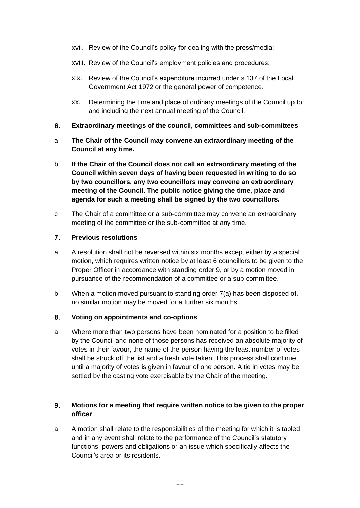- xvii. Review of the Council's policy for dealing with the press/media;
- xviii. Review of the Council's employment policies and procedures;
- xix. Review of the Council's expenditure incurred under s.137 of the Local Government Act 1972 or the general power of competence.
- xx. Determining the time and place of ordinary meetings of the Council up to and including the next annual meeting of the Council.
- <span id="page-10-0"></span>6. **Extraordinary meetings of the council, committees and sub-committees**
- a **The Chair of the Council may convene an extraordinary meeting of the Council at any time.**
- b **If the Chair of the Council does not call an extraordinary meeting of the Council within seven days of having been requested in writing to do so by two councillors, any two councillors may convene an extraordinary meeting of the Council. The public notice giving the time, place and agenda for such a meeting shall be signed by the two councillors.**
- c The Chair of a committee or a sub-committee may convene an extraordinary meeting of the committee or the sub-committee at any time.

#### <span id="page-10-1"></span> $\overline{7}$ **Previous resolutions**

- a A resolution shall not be reversed within six months except either by a special motion, which requires written notice by at least 6 councillors to be given to the Proper Officer in accordance with standing order 9, or by a motion moved in pursuance of the recommendation of a committee or a sub-committee.
- b When a motion moved pursuant to standing order 7(a) has been disposed of, no similar motion may be moved for a further six months.

#### <span id="page-10-2"></span>8. **Voting on appointments and co-options**

a Where more than two persons have been nominated for a position to be filled by the Council and none of those persons has received an absolute majority of votes in their favour, the name of the person having the least number of votes shall be struck off the list and a fresh vote taken. This process shall continue until a majority of votes is given in favour of one person. A tie in votes may be settled by the casting vote exercisable by the Chair of the meeting.

### <span id="page-10-3"></span> $9<sub>-</sub>$ **Motions for a meeting that require written notice to be given to the proper officer**

a A motion shall relate to the responsibilities of the meeting for which it is tabled and in any event shall relate to the performance of the Council's statutory functions, powers and obligations or an issue which specifically affects the Council's area or its residents.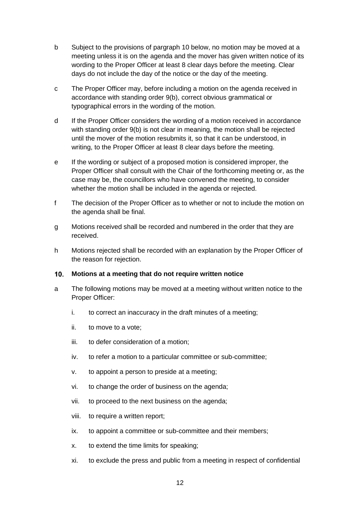- b Subject to the provisions of pargraph 10 below, no motion may be moved at a meeting unless it is on the agenda and the mover has given written notice of its wording to the Proper Officer at least 8 clear days before the meeting. Clear days do not include the day of the notice or the day of the meeting.
- c The Proper Officer may, before including a motion on the agenda received in accordance with standing order 9(b), correct obvious grammatical or typographical errors in the wording of the motion.
- d If the Proper Officer considers the wording of a motion received in accordance with standing order 9(b) is not clear in meaning, the motion shall be rejected until the mover of the motion resubmits it, so that it can be understood, in writing, to the Proper Officer at least 8 clear days before the meeting.
- e If the wording or subject of a proposed motion is considered improper, the Proper Officer shall consult with the Chair of the forthcoming meeting or, as the case may be, the councillors who have convened the meeting, to consider whether the motion shall be included in the agenda or rejected.
- f The decision of the Proper Officer as to whether or not to include the motion on the agenda shall be final.
- g Motions received shall be recorded and numbered in the order that they are received.
- h Motions rejected shall be recorded with an explanation by the Proper Officer of the reason for rejection.

#### <span id="page-11-0"></span> $10.$ **Motions at a meeting that do not require written notice**

- a The following motions may be moved at a meeting without written notice to the Proper Officer:
	- i. to correct an inaccuracy in the draft minutes of a meeting;
	- ii. to move to a vote;
	- iii. to defer consideration of a motion;
	- iv. to refer a motion to a particular committee or sub-committee;
	- v. to appoint a person to preside at a meeting;
	- vi. to change the order of business on the agenda;
	- vii. to proceed to the next business on the agenda;
	- viii. to require a written report;
	- ix. to appoint a committee or sub-committee and their members;
	- x. to extend the time limits for speaking;
	- xi. to exclude the press and public from a meeting in respect of confidential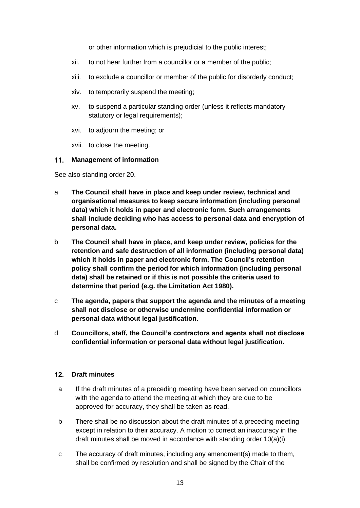or other information which is prejudicial to the public interest;

- xii. to not hear further from a councillor or a member of the public;
- xiii. to exclude a councillor or member of the public for disorderly conduct;
- xiv. to temporarily suspend the meeting;
- xv. to suspend a particular standing order (unless it reflects mandatory statutory or legal requirements);
- xvi. to adjourn the meeting; or
- xvii. to close the meeting.

### <span id="page-12-0"></span>**Management of information**

See also standing order 20.

- a **The Council shall have in place and keep under review, technical and organisational measures to keep secure information (including personal data) which it holds in paper and electronic form. Such arrangements shall include deciding who has access to personal data and encryption of personal data.**
- b **The Council shall have in place, and keep under review, policies for the retention and safe destruction of all information (including personal data) which it holds in paper and electronic form. The Council's retention policy shall confirm the period for which information (including personal data) shall be retained or if this is not possible the criteria used to determine that period (e.g. the Limitation Act 1980).**
- c **The agenda, papers that support the agenda and the minutes of a meeting shall not disclose or otherwise undermine confidential information or personal data without legal justification.**
- d **Councillors, staff, the Council's contractors and agents shall not disclose confidential information or personal data without legal justification.**

### <span id="page-12-1"></span>**Draft minutes**

- a If the draft minutes of a preceding meeting have been served on councillors with the agenda to attend the meeting at which they are due to be approved for accuracy, they shall be taken as read.
- b There shall be no discussion about the draft minutes of a preceding meeting except in relation to their accuracy. A motion to correct an inaccuracy in the draft minutes shall be moved in accordance with standing order 10(a)(i).
- c The accuracy of draft minutes, including any amendment(s) made to them, shall be confirmed by resolution and shall be signed by the Chair of the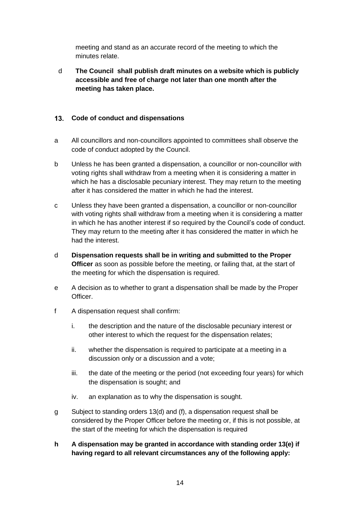meeting and stand as an accurate record of the meeting to which the minutes relate.

d **The Council shall publish draft minutes on a website which is publicly accessible and free of charge not later than one month after the meeting has taken place.**

## <span id="page-13-0"></span>**Code of conduct and dispensations**

- a All councillors and non-councillors appointed to committees shall observe the code of conduct adopted by the Council.
- b Unless he has been granted a dispensation, a councillor or non-councillor with voting rights shall withdraw from a meeting when it is considering a matter in which he has a disclosable pecuniary interest. They may return to the meeting after it has considered the matter in which he had the interest.
- c Unless they have been granted a dispensation, a councillor or non-councillor with voting rights shall withdraw from a meeting when it is considering a matter in which he has another interest if so required by the Council's code of conduct. They may return to the meeting after it has considered the matter in which he had the interest.
- d **Dispensation requests shall be in writing and submitted to the Proper Officer** as soon as possible before the meeting, or failing that, at the start of the meeting for which the dispensation is required.
- e A decision as to whether to grant a dispensation shall be made by the Proper Officer.
- f A dispensation request shall confirm:
	- i. the description and the nature of the disclosable pecuniary interest or other interest to which the request for the dispensation relates;
	- ii. whether the dispensation is required to participate at a meeting in a discussion only or a discussion and a vote;
	- iii. the date of the meeting or the period (not exceeding four years) for which the dispensation is sought; and
	- iv. an explanation as to why the dispensation is sought.
- g Subject to standing orders 13(d) and (f), a dispensation request shall be considered by the Proper Officer before the meeting or, if this is not possible, at the start of the meeting for which the dispensation is required
- **h A dispensation may be granted in accordance with standing order 13(e) if having regard to all relevant circumstances any of the following apply:**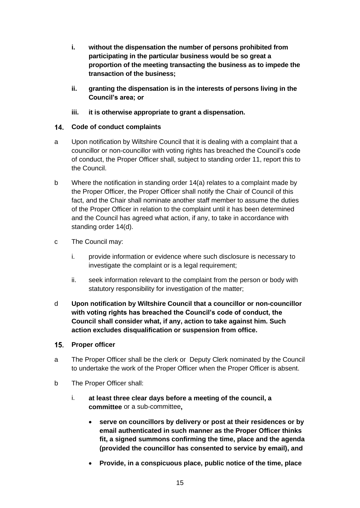- **i. without the dispensation the number of persons prohibited from participating in the particular business would be so great a proportion of the meeting transacting the business as to impede the transaction of the business;**
- **ii. granting the dispensation is in the interests of persons living in the Council's area; or**
- **iii. it is otherwise appropriate to grant a dispensation.**

## <span id="page-14-0"></span>**Code of conduct complaints**

- a Upon notification by Wiltshire Council that it is dealing with a complaint that a councillor or non-councillor with voting rights has breached the Council's code of conduct, the Proper Officer shall, subject to standing order 11, report this to the Council.
- b Where the notification in standing order 14(a) relates to a complaint made by the Proper Officer, the Proper Officer shall notify the Chair of Council of this fact, and the Chair shall nominate another staff member to assume the duties of the Proper Officer in relation to the complaint until it has been determined and the Council has agreed what action, if any, to take in accordance with standing order 14(d).
- c The Council may:
	- i. provide information or evidence where such disclosure is necessary to investigate the complaint or is a legal requirement;
	- ii. seek information relevant to the complaint from the person or body with statutory responsibility for investigation of the matter;
- d **Upon notification by Wiltshire Council that a councillor or non-councillor with voting rights has breached the Council's code of conduct, the Council shall consider what, if any, action to take against him. Such action excludes disqualification or suspension from office.**
- <span id="page-14-1"></span>15. Proper officer
- a The Proper Officer shall be the clerk or Deputy Clerk nominated by the Council to undertake the work of the Proper Officer when the Proper Officer is absent.
- b The Proper Officer shall:
	- i. **at least three clear days before a meeting of the council, a committee** or a sub-committee**,**
		- **serve on councillors by delivery or post at their residences or by email authenticated in such manner as the Proper Officer thinks fit, a signed summons confirming the time, place and the agenda (provided the councillor has consented to service by email), and**
		- **Provide, in a conspicuous place, public notice of the time, place**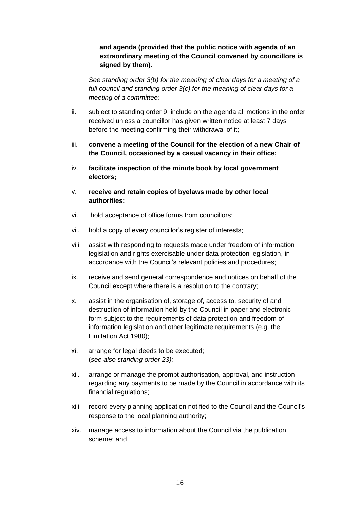## **and agenda (provided that the public notice with agenda of an extraordinary meeting of the Council convened by councillors is signed by them).**

*See standing order 3(b) for the meaning of clear days for a meeting of a full council and standing order 3(c) for the meaning of clear days for a meeting of a committee;*

- ii. subject to standing order 9, include on the agenda all motions in the order received unless a councillor has given written notice at least 7 days before the meeting confirming their withdrawal of it;
- iii. **convene a meeting of the Council for the election of a new Chair of the Council, occasioned by a casual vacancy in their office;**
- iv. **facilitate inspection of the minute book by local government electors;**
- v. **receive and retain copies of byelaws made by other local authorities;**
- vi. hold acceptance of office forms from councillors;
- vii. hold a copy of every councillor's register of interests;
- viii. assist with responding to requests made under freedom of information legislation and rights exercisable under data protection legislation, in accordance with the Council's relevant policies and procedures;
- ix. receive and send general correspondence and notices on behalf of the Council except where there is a resolution to the contrary;
- x. assist in the organisation of, storage of, access to, security of and destruction of information held by the Council in paper and electronic form subject to the requirements of data protection and freedom of information legislation and other legitimate requirements (e.g. the Limitation Act 1980);
- xi. arrange for legal deeds to be executed; (*see also standing order 23);*
- xii. arrange or manage the prompt authorisation, approval, and instruction regarding any payments to be made by the Council in accordance with its financial regulations;
- xiii. record every planning application notified to the Council and the Council's response to the local planning authority;
- xiv. manage access to information about the Council via the publication scheme; and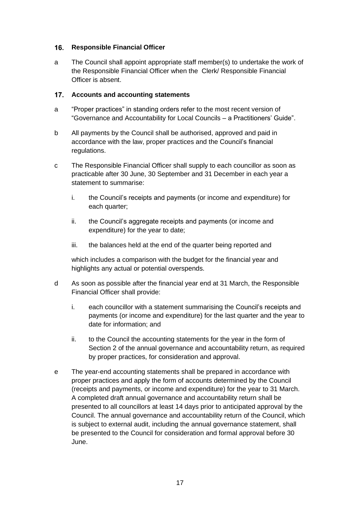### <span id="page-16-0"></span>16. **Responsible Financial Officer**

a The Council shall appoint appropriate staff member(s) to undertake the work of the Responsible Financial Officer when the Clerk/ Responsible Financial Officer is absent.

### <span id="page-16-1"></span> $17.$ **Accounts and accounting statements**

- a "Proper practices" in standing orders refer to the most recent version of "Governance and Accountability for Local Councils – a Practitioners' Guide".
- b All payments by the Council shall be authorised, approved and paid in accordance with the law, proper practices and the Council's financial regulations.
- c The Responsible Financial Officer shall supply to each councillor as soon as practicable after 30 June, 30 September and 31 December in each year a statement to summarise:
	- i. the Council's receipts and payments (or income and expenditure) for each quarter;
	- ii. the Council's aggregate receipts and payments (or income and expenditure) for the year to date;
	- iii. the balances held at the end of the quarter being reported and

which includes a comparison with the budget for the financial year and highlights any actual or potential overspends.

- d As soon as possible after the financial year end at 31 March, the Responsible Financial Officer shall provide:
	- i. each councillor with a statement summarising the Council's receipts and payments (or income and expenditure) for the last quarter and the year to date for information; and
	- ii. to the Council the accounting statements for the year in the form of Section 2 of the annual governance and accountability return, as required by proper practices, for consideration and approval.
- e The year-end accounting statements shall be prepared in accordance with proper practices and apply the form of accounts determined by the Council (receipts and payments, or income and expenditure) for the year to 31 March. A completed draft annual governance and accountability return shall be presented to all councillors at least 14 days prior to anticipated approval by the Council. The annual governance and accountability return of the Council, which is subject to external audit, including the annual governance statement, shall be presented to the Council for consideration and formal approval before 30 June.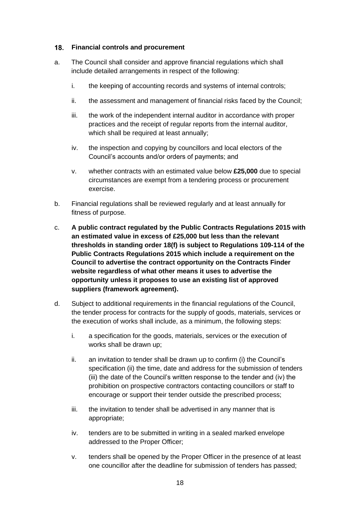### <span id="page-17-0"></span>**Financial controls and procurement**

- a. The Council shall consider and approve financial regulations which shall include detailed arrangements in respect of the following:
	- i. the keeping of accounting records and systems of internal controls;
	- ii. the assessment and management of financial risks faced by the Council;
	- iii. the work of the independent internal auditor in accordance with proper practices and the receipt of regular reports from the internal auditor, which shall be required at least annually;
	- iv. the inspection and copying by councillors and local electors of the Council's accounts and/or orders of payments; and
	- v. whether contracts with an estimated value below **£25,000** due to special circumstances are exempt from a tendering process or procurement exercise.
- b. Financial regulations shall be reviewed regularly and at least annually for fitness of purpose.
- c. **A public contract regulated by the Public Contracts Regulations 2015 with an estimated value in excess of £25,000 but less than the relevant thresholds in standing order 18(f) is subject to Regulations 109-114 of the Public Contracts Regulations 2015 which include a requirement on the Council to advertise the contract opportunity on the Contracts Finder website regardless of what other means it uses to advertise the opportunity unless it proposes to use an existing list of approved suppliers (framework agreement).**
- d. Subject to additional requirements in the financial regulations of the Council, the tender process for contracts for the supply of goods, materials, services or the execution of works shall include, as a minimum, the following steps:
	- i. a specification for the goods, materials, services or the execution of works shall be drawn up;
	- ii. an invitation to tender shall be drawn up to confirm (i) the Council's specification (ii) the time, date and address for the submission of tenders (iii) the date of the Council's written response to the tender and (iv) the prohibition on prospective contractors contacting councillors or staff to encourage or support their tender outside the prescribed process;
	- iii. the invitation to tender shall be advertised in any manner that is appropriate;
	- iv. tenders are to be submitted in writing in a sealed marked envelope addressed to the Proper Officer;
	- v. tenders shall be opened by the Proper Officer in the presence of at least one councillor after the deadline for submission of tenders has passed;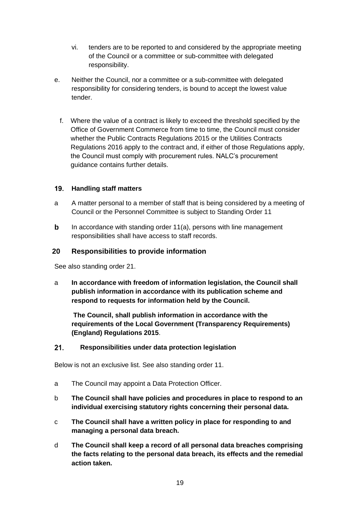- vi. tenders are to be reported to and considered by the appropriate meeting of the Council or a committee or sub-committee with delegated responsibility.
- e. Neither the Council, nor a committee or a sub-committee with delegated responsibility for considering tenders, is bound to accept the lowest value tender.
	- f. Where the value of a contract is likely to exceed the threshold specified by the Office of Government Commerce from time to time, the Council must consider whether the Public Contracts Regulations 2015 or the Utilities Contracts Regulations 2016 apply to the contract and, if either of those Regulations apply, the Council must comply with procurement rules. NALC's procurement guidance contains further details.

## <span id="page-18-0"></span>**Handling staff matters**

- a A matter personal to a member of staff that is being considered by a meeting of Council or the Personnel Committee is subject to Standing Order 11
- <span id="page-18-1"></span>**b** In accordance with standing order 11(a), persons with line management responsibilities shall have access to staff records.

### **20 Responsibilities to provide information**

See also standing order 21.

a **In accordance with freedom of information legislation, the Council shall publish information in accordance with its publication scheme and respond to requests for information held by the Council.**

**The Council, shall publish information in accordance with the requirements of the Local Government (Transparency Requirements) (England) Regulations 2015**.

#### <span id="page-18-2"></span> $21.$ **Responsibilities under data protection legislation**

Below is not an exclusive list. See also standing order 11.

- a The Council may appoint a Data Protection Officer.
- b **The Council shall have policies and procedures in place to respond to an individual exercising statutory rights concerning their personal data.**
- c **The Council shall have a written policy in place for responding to and managing a personal data breach.**
- d **The Council shall keep a record of all personal data breaches comprising the facts relating to the personal data breach, its effects and the remedial action taken.**